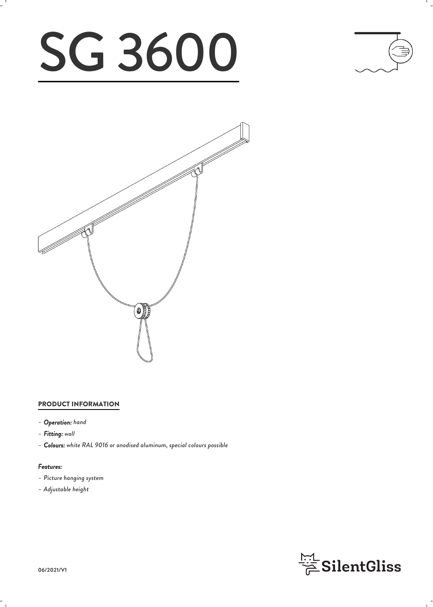# SG 3600





# PRODUCT INFORMATION

- *– Operation: hand*
- *– Fitting: wall*
- *– Colours: white RAL 9016 or anodised aluminum, special colours possible*

## *Features:*

- *– Picture hanging system*
- *– Adjustable height*

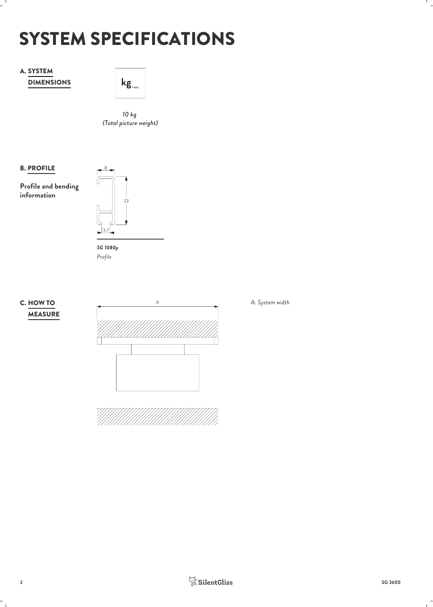# SYSTEM SPECIFICATIONS

A. SYSTEM A REPORT OF THE SERVICE OF THE SERVICE OF THE SERVICE OF THE SERVICE OF THE SERVICE OF THE SERVICE O



*10 kg (Total picture weight)*



**Profile and bending information**  $\begin{bmatrix} 1 & 1 \\ 23 & 23 \end{bmatrix}$ 



*SG 1080p Profile*

# MEASURE



*A: System width*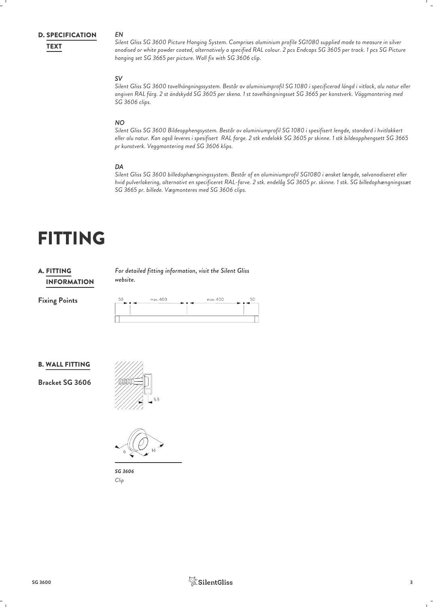*EN Silent Gliss SG 3600 Picture Hanging System. Comprises aluminium profile SG1080 supplied made to measure in silver anodised or white powder coated, alternatively a specified RAL colour. 2 pcs Endcaps SG 3605 per track. 1 pcs SG Picture* TEXT *hanging set SG 3665 per picture. Wall fix with SG 3606 clip.*

# *SV*

*Silent Gliss SG 3600 tavelhängningssystem. Består av aluminiumprofil SG 1080 i specificerad längd i vitlack, alu natur eller angiven RAL färg. 2 st ändskydd SG 3605 per skena. 1 st tavelhängningsset SG 3665 per konstverk. Väggmontering med SG 3606 clips.*

## *NO*

*Silent Gliss SG 3600 Bildeopphengsystem. Består av aluminiumprofil SG 1080 i spesifisert lengde, standard i hvitlakkert eller alu natur. Kan også leveres i spesifisert RAL farge. 2 stk endelokk SG 3605 pr skinne. 1 stk bildeopphengsett SG 3665 pr kunstverk. Veggmontering med SG 3606 klips.*

## *DA*

*Silent Gliss SG 3600 billedophængningssystem. Består af en aluminiumprofil SG1080 i ønsket længde, sølvanodiseret eller hvid pulverlakering, alternativt en specificeret RAL-farve. 2 stk. endelåg SG 3605 pr. skinne. 1 stk. SG billedophængningssæt SG 3665 pr. billede. Vægmonteres med SG 3606 clips.*

# FITTING

# INFORMATION **A. FITTING**

*For detailed fitting information, visit the Silent Gliss* FITTING *website.*

nax. 400

Fixing Points 50

|  | <b>B. WALL FITTING</b> |  |
|--|------------------------|--|

**Bracket SG 3606**





*SG 3606 Clip*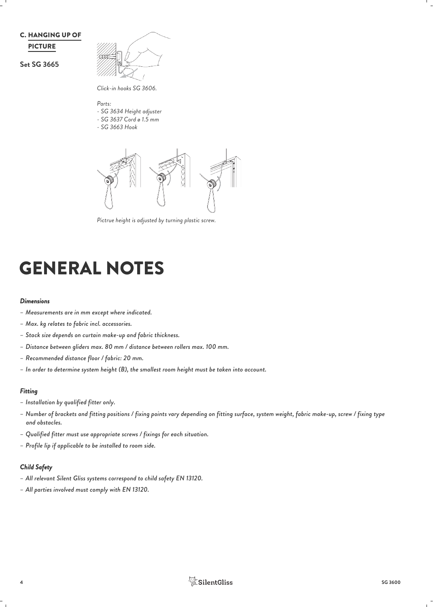# PICTURE

**Set SG 3665**



*Click-in hooks SG 3606.* 

### *Parts:*

- *SG 3634 Height adjuster*
- *SG 3637 Cord ø 1.5 mm*
- *SG 3663 Hook*



*Pictrue height is adjusted by turning plastic screw.*

# GENERAL NOTES

## *Dimensions*

- *– Measurements are in mm except where indicated.*
- *– Max. kg relates to fabric incl. accessories.*
- *– Stack size depends on curtain make-up and fabric thickness.*
- *– Distance between gliders max. 80 mm / distance between rollers max. 100 mm.*
- *– Recommended distance floor / fabric: 20 mm.*
- *– In order to determine system height (B), the smallest room height must be taken into account.*

## *Fitting*

- *– Installation by qualified fitter only.*
- *– Number of brackets and fitting positions / fixing points vary depending on fitting surface, system weight, fabric make-up, screw / fixing type and obstacles.*
- *– Qualified fitter must use appropriate screws / fixings for each situation.*
- *– Profile lip if applicable to be installed to room side.*

# *Child Safety*

- *– All relevant Silent Gliss systems correspond to child safety EN 13120.*
- *– All parties involved must comply with EN 13120.*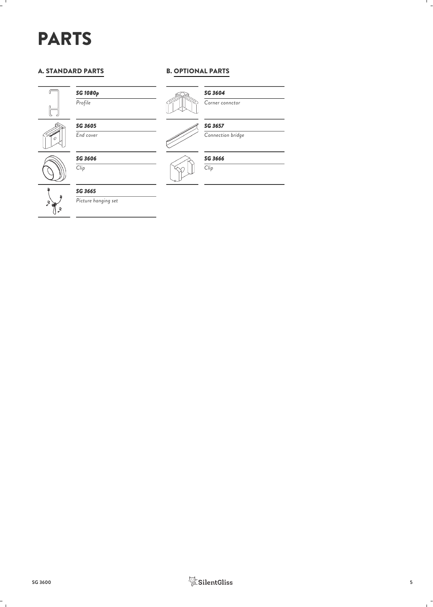# PARTS

# A. STANDARD PARTS

 $\sqrt{2}$  $\mathbb{E}$ JJ

*SG 1080p Profile*

 $\sigma$ 

*SG 3605 End cover*



# *SG 3606 Clip*

J 8

# *SG 3665*

*Picture hanging set*

# B. OPTIONAL PARTS









# *SG 3666*

| <b>JA JODD</b> |  |
|----------------|--|
|                |  |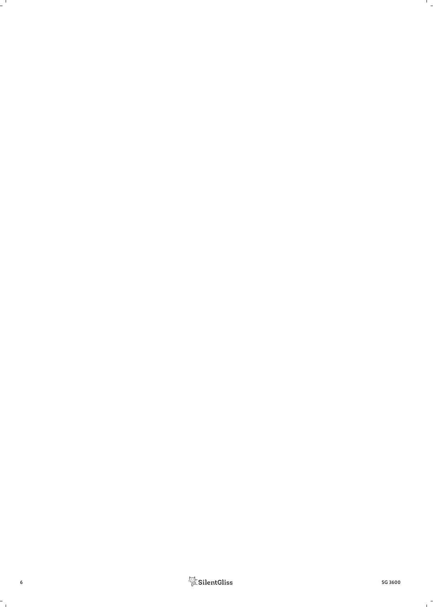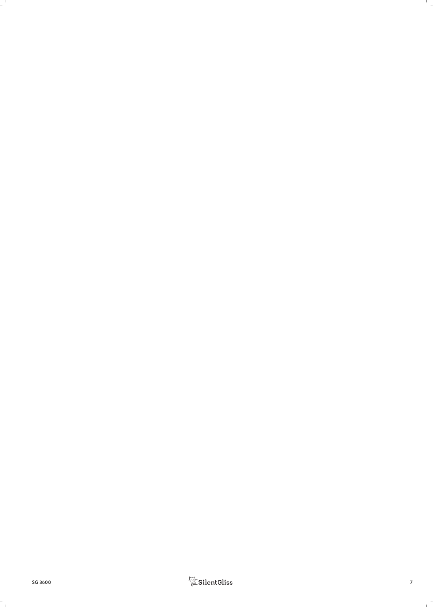